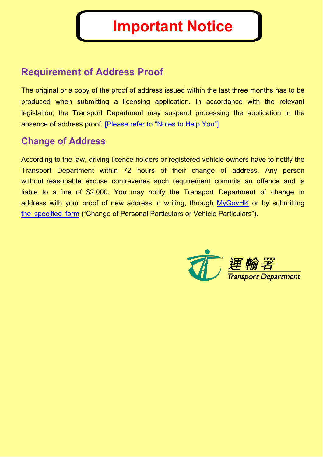# **Requirement of Address Proof**

The original or a copy of the proof of address issued within the last three months has to be produced when submitting a licensing application. In accordance with the relevant legislation, the Transport Department may suspend processing the application in the absence of address proof. [Please refer to "Notes to Help You"]

# **Change of Address**

According to the law, driving licence holders or registered vehicle owners have to notify the Transport Department within 72 hours of their change of address. Any person without reasonable excuse contravenes such requirement commits an offence and is liable to a fine of \$2,000. You may notify the Transport Department of change in address with your proof of new address in writing, through MyGovHK or by submitting the specified form ("Change of Personal Particulars or Vehicle Particulars").

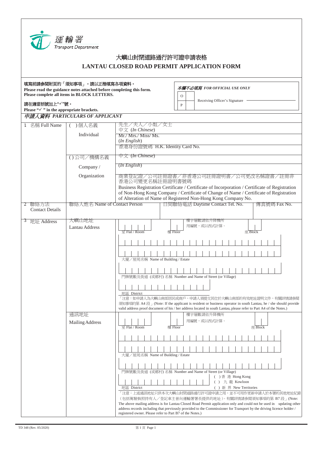

## 大嶼山封閉道路通行許可證申請表格 **LANTAU CLOSED ROAD PERMIT APPLICATION FORM**

| 填寫前請參閱附頁的「須知事項」。請以正楷填寫各項資料。<br>本欄不必填寫 FOR OFFICIAL USE ONLY<br>Please read the guidance notes attached before completing this form.<br>Please complete all items in BLOCK LETTERS.<br>O |                                                      |                                                                                                                                                                                                                                                                                           |  |  |  |
|-----------------------------------------------------------------------------------------------------------------------------------------------------------------------------------------|------------------------------------------------------|-------------------------------------------------------------------------------------------------------------------------------------------------------------------------------------------------------------------------------------------------------------------------------------------|--|--|--|
| 請在適當括號加上"√"號。                                                                                                                                                                           |                                                      | Receiving Officer's Signature<br>$\, {\bf P}$                                                                                                                                                                                                                                             |  |  |  |
| Please " $\checkmark$ " in the appropriate brackets.<br>申請人資料 PARTICULARS OF APPLICANT                                                                                                  |                                                      |                                                                                                                                                                                                                                                                                           |  |  |  |
| 1 名稱 Full Name                                                                                                                                                                          | )個人名義<br>$\left($                                    | 先生/夫人/小姐/女士<br>中文 (In Chinese)                                                                                                                                                                                                                                                            |  |  |  |
|                                                                                                                                                                                         | Individual                                           | Mr./ Mrs./ Miss/ Ms.                                                                                                                                                                                                                                                                      |  |  |  |
|                                                                                                                                                                                         |                                                      | $(In$ <i>English</i> $)$                                                                                                                                                                                                                                                                  |  |  |  |
|                                                                                                                                                                                         |                                                      | 香港身份證號碼 H.K. Identity Card No.                                                                                                                                                                                                                                                            |  |  |  |
|                                                                                                                                                                                         | $\overline{\nabla \times (In Chinese)}$<br>()公司/機構名義 |                                                                                                                                                                                                                                                                                           |  |  |  |
|                                                                                                                                                                                         | Company/                                             | <i>(In English)</i>                                                                                                                                                                                                                                                                       |  |  |  |
|                                                                                                                                                                                         | Organization                                         | 商業登記證/公司註冊證書/非香港公司註冊證明書/公司更改名稱證書/註冊非<br>香港公司變更名稱註冊證明書號碼<br>Business Registration Certificate / Certificate of Incorporation / Certificate of Registration                                                                                                                                 |  |  |  |
|                                                                                                                                                                                         |                                                      |                                                                                                                                                                                                                                                                                           |  |  |  |
|                                                                                                                                                                                         |                                                      | of Non-Hong Kong Company / Certificate of Change of Name / Certificate of Registration<br>of Alteration of Name of Registered Non-Hong Kong Company No.                                                                                                                                   |  |  |  |
| 2 聯絡方法                                                                                                                                                                                  | 聯絡人姓名 Name of Contact Person                         | 日間聯絡電話 Daytime Contact Tel. No.<br>傳真號碼 Fax No.                                                                                                                                                                                                                                           |  |  |  |
| <b>Contact Details</b>                                                                                                                                                                  |                                                      |                                                                                                                                                                                                                                                                                           |  |  |  |
| 3 地址 Address                                                                                                                                                                            | 大嶼山地址                                                | 樓宇層數請依升降機所<br>用編號,或以西式計算。                                                                                                                                                                                                                                                                 |  |  |  |
|                                                                                                                                                                                         | <b>Lantau Address</b>                                | 军 Flat / Room<br>座 Block<br>樓 Floor                                                                                                                                                                                                                                                       |  |  |  |
|                                                                                                                                                                                         |                                                      |                                                                                                                                                                                                                                                                                           |  |  |  |
|                                                                                                                                                                                         |                                                      |                                                                                                                                                                                                                                                                                           |  |  |  |
|                                                                                                                                                                                         |                                                      | 大廈/屋苑名稱 Name of Building / Estate                                                                                                                                                                                                                                                         |  |  |  |
|                                                                                                                                                                                         |                                                      |                                                                                                                                                                                                                                                                                           |  |  |  |
|                                                                                                                                                                                         |                                                      | 門牌號數及街道 (或鄉村) 名稱 Number and Name of Street (or Village)                                                                                                                                                                                                                                   |  |  |  |
|                                                                                                                                                                                         |                                                      |                                                                                                                                                                                                                                                                                           |  |  |  |
|                                                                                                                                                                                         |                                                      | 地區 District                                                                                                                                                                                                                                                                               |  |  |  |
|                                                                                                                                                                                         |                                                      | 「注意:如申請人為大嶼山南部居民或商戶,申請人須提交其位於大嶼山南部的有效地址證明文件,有關詳情請參閱<br>須知事項的第 A4 段 (Note: If the applicant is resident or business operator in south Lantau, he / she should provide<br>valid address proof document of his / her address located in south Lantau, please refer to Part A4 of the Notes.) |  |  |  |
|                                                                                                                                                                                         |                                                      |                                                                                                                                                                                                                                                                                           |  |  |  |
|                                                                                                                                                                                         | 通訊地址                                                 | 樓宇層數請依升降機所                                                                                                                                                                                                                                                                                |  |  |  |
|                                                                                                                                                                                         | Mailing Address                                      | 用编號,或以西式計算。<br>座 Block<br>室 Flat / Room<br>樓 Floor                                                                                                                                                                                                                                        |  |  |  |
|                                                                                                                                                                                         |                                                      |                                                                                                                                                                                                                                                                                           |  |  |  |
|                                                                                                                                                                                         |                                                      |                                                                                                                                                                                                                                                                                           |  |  |  |
|                                                                                                                                                                                         |                                                      | 大廈/屋苑名稱 Name of Building / Estate                                                                                                                                                                                                                                                         |  |  |  |
|                                                                                                                                                                                         |                                                      | 門牌號數及街道 (或鄉村) 名稱 Number and Name of Street (or Village)                                                                                                                                                                                                                                   |  |  |  |
|                                                                                                                                                                                         |                                                      | () 香港 Hong Kong                                                                                                                                                                                                                                                                           |  |  |  |
|                                                                                                                                                                                         |                                                      | () 九龍 Kowloon<br>地區 District<br>() 新界 New Territories                                                                                                                                                                                                                                     |  |  |  |
|                                                                                                                                                                                         |                                                      | 「注意:上述通訊地址只供本次大嶼山封閉道路通行許可證申請之用,並不可用作更新申請人於本署的其他地址紀錄                                                                                                                                                                                                                                       |  |  |  |
|                                                                                                                                                                                         |                                                      | (包括駕駛執照持有人/登記車主曾向運輸署署長提供的地址)。有關詳情請參閱須知事項的第 B7 段」(Note:<br>The above mailing address is for Lantau Closed Road Permit application only and could not be used in updating other                                                                                                             |  |  |  |
|                                                                                                                                                                                         |                                                      | address records including that previously provided to the Commissioner for Transport by the driving licence holder /                                                                                                                                                                      |  |  |  |
|                                                                                                                                                                                         |                                                      | registered owner. Please refer to Part B7 of the Notes.)                                                                                                                                                                                                                                  |  |  |  |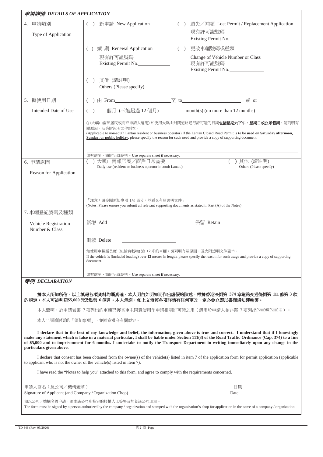| 申請詳情 DETAILS OF APPLICATION                                            |                                                                                                                                                                                                                                                                                                                                                |  |                                                                                                                                                                                                                                                                                                                                                                                                                                                 |  |  |
|------------------------------------------------------------------------|------------------------------------------------------------------------------------------------------------------------------------------------------------------------------------------------------------------------------------------------------------------------------------------------------------------------------------------------|--|-------------------------------------------------------------------------------------------------------------------------------------------------------------------------------------------------------------------------------------------------------------------------------------------------------------------------------------------------------------------------------------------------------------------------------------------------|--|--|
| 4. 申請類別<br>Type of Application                                         | () 新申請 New Application                                                                                                                                                                                                                                                                                                                         |  | () 遺失/補領 Lost Permit / Replacement Application<br>現有許可證號碼<br>Existing Permit No.                                                                                                                                                                                                                                                                                                                                                                |  |  |
|                                                                        | () 續 期 Renewal Application                                                                                                                                                                                                                                                                                                                     |  | () 更改車輛號碼或種類                                                                                                                                                                                                                                                                                                                                                                                                                                    |  |  |
|                                                                        | 現有許可證號碼<br>Existing Permit No.                                                                                                                                                                                                                                                                                                                 |  | Change of Vehicle Number or Class<br>現有許可證號碼<br>Existing Permit No.                                                                                                                                                                                                                                                                                                                                                                             |  |  |
|                                                                        | 其他 (請註明)<br>(<br>Others (Please specify)                                                                                                                                                                                                                                                                                                       |  | <u> 1989 - Johann Barbara, martin amerikan basal dan berasal dan berasal dalam basal dan berasal dan berasal dan</u>                                                                                                                                                                                                                                                                                                                            |  |  |
| 5. 擬使用日期                                                               | () 由 From $\overline{\mathfrak{D}}$ to $\overline{\mathfrak{D}}$ to $\overline{\mathfrak{D}}$ is $\overline{\mathfrak{D}}$ or                                                                                                                                                                                                                  |  |                                                                                                                                                                                                                                                                                                                                                                                                                                                 |  |  |
| Intended Date of Use                                                   |                                                                                                                                                                                                                                                                                                                                                |  |                                                                                                                                                                                                                                                                                                                                                                                                                                                 |  |  |
|                                                                        | (非大嶼山南部居民或商戶申請人適用) 如使用大嶼山封閉道路通行許可證的日期 <b>包括星期六下午、星期日或公眾假期</b> ,請列明有<br>關原因,及夾附證明文件副本。<br>(Applicable to non-south Lantau resident or business operator) If the Lantau Closed Road Permit is to be used on Saturday afternoon,<br>Sunday, or public holiday, please specify the reason for such need and provide a copy of supporting document: |  |                                                                                                                                                                                                                                                                                                                                                                                                                                                 |  |  |
|                                                                        | 如有需要,請附另頁說明。Use separate sheet if necessary.                                                                                                                                                                                                                                                                                                   |  |                                                                                                                                                                                                                                                                                                                                                                                                                                                 |  |  |
| 6. 申請原因                                                                | () 大嶼山南部居民/商戶日常需要<br>Daily use (resident or business operator in south Lantau)                                                                                                                                                                                                                                                                 |  | )其他 (請註明)<br>Others (Please specify)                                                                                                                                                                                                                                                                                                                                                                                                            |  |  |
| Reason for Application                                                 |                                                                                                                                                                                                                                                                                                                                                |  |                                                                                                                                                                                                                                                                                                                                                                                                                                                 |  |  |
| 7. 車輛登記號碼及種類<br>Vehicle Registration<br>Number & Class                 | 「注意:請參閱須知事項 (A) 部分,並遞交有關證明文件 」<br>(Notes: Please ensure you submit all relevant supporting documents as stated in Part (A) of the Notes)<br>新增 Add<br>刪減 Delete<br>如使用車輛屬長度 (包括負載物) 逾 12 米的車輛,請列明有關原因,及夾附證明文件副本。<br>document.                                                                                                                  |  | 保留 Retain<br>If the vehicle is (included loading) over 12 metres in length, please specify the reason for such usage and provide a copy of supporting                                                                                                                                                                                                                                                                                           |  |  |
|                                                                        | 如有需要,請附另頁說明。Use separate sheet if necessary.                                                                                                                                                                                                                                                                                                   |  |                                                                                                                                                                                                                                                                                                                                                                                                                                                 |  |  |
| 聲明 DECLARATION                                                         |                                                                                                                                                                                                                                                                                                                                                |  |                                                                                                                                                                                                                                                                                                                                                                                                                                                 |  |  |
|                                                                        | 的規定,本人可被判罰\$5,000 元及監禁 6 個月。本人承諾,如上文填報各項詳情有任何更改,定必會立即以書面通知運輸署。                                                                                                                                                                                                                                                                                 |  | 據本人所知所信,以上填報各項資料均屬真確。本人明白如明知而作出虛假的陳述,根據香港法例第 374 章道路交通條例第 111 條第 3 款                                                                                                                                                                                                                                                                                                                                                                            |  |  |
|                                                                        |                                                                                                                                                                                                                                                                                                                                                |  | 本人聲明,於申請表第 7 項列出的車輛已獲其車主同意使用作申請相關許可證之用(適用於申請人並非第 7 項列出的車輛的車主)。                                                                                                                                                                                                                                                                                                                                                                                  |  |  |
|                                                                        | 本人已閱讀附頁的「須知事項」,並同意遵守有關規定。                                                                                                                                                                                                                                                                                                                      |  |                                                                                                                                                                                                                                                                                                                                                                                                                                                 |  |  |
| particulars given above.                                               |                                                                                                                                                                                                                                                                                                                                                |  | I declare that to the best of my knowledge and belief, the information, given above is true and correct. I understand that if I knowingly<br>make any statement which is false in a material particular, I shall be liable under Section 111(3) of the Road Traffic Ordinance (Cap. 374) to a fine<br>of \$5,000 and to imprisonment for 6 months. I undertake to notify the Transport Department in writing immediately upon any change in the |  |  |
| to applicant who is not the owner of the vehicle(s) listed in item 7). |                                                                                                                                                                                                                                                                                                                                                |  | I declare that consent has been obtained from the owner(s) of the vehicle(s) listed in item 7 of the application form for permit application (applicable                                                                                                                                                                                                                                                                                        |  |  |
|                                                                        | I have read the "Notes to help you" attached to this form, and agree to comply with the requirements concerned.                                                                                                                                                                                                                                |  |                                                                                                                                                                                                                                                                                                                                                                                                                                                 |  |  |
| 申請人簽名 (及公司/機構蓋章)                                                       |                                                                                                                                                                                                                                                                                                                                                |  | 日期                                                                                                                                                                                                                                                                                                                                                                                                                                              |  |  |
|                                                                        | Signature of Applicant (and Company / Organization Chop) <b>Signature 2018</b>                                                                                                                                                                                                                                                                 |  | Date                                                                                                                                                                                                                                                                                                                                                                                                                                            |  |  |
|                                                                        | 如以公司/機構名義申請,須由該公司所指定的授權人士簽署及加蓋該公司印章。                                                                                                                                                                                                                                                                                                           |  | The form must be signed by a person authorized by the company / organization and stamped with the organization's chop for application in the name of a company / organization.                                                                                                                                                                                                                                                                  |  |  |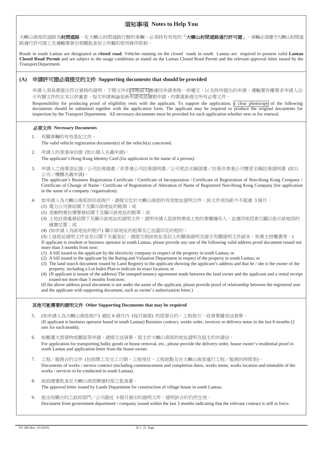## 須知事項 **Notes to Help You**

大嶼山南部的道路為**封閉道路。**在大嶼山封閉道路行駛的車輛,必須持有有效的『**大嶼山封閉道路通行許可證』**。車輛必須遵守大嶼山封閉道 路通行許可證上及運輸署發出相關批准信上所載的使用條件限制。

Roads in south Lantau are designated as **closed road**. Vehicles running on the closed roads in south Lantau are required to possess valid **Lantau Closed Road Permit** and are subject to the usage conditions as stated on the Lantau Closed Road Permit and the relevant approval letter issued by the TransportDepartment.

### **(A)** 申請許可證必須提交的文件 **Supporting documents that should be provided**

申請人須負責提出符合資格的證明,下開文件的清晰副本應連同申請表格一併遞交,以支持所提出的申請。運輸署有權要求申請人出 示有關文件的正本以供審查。每次申請無論是新申請或是續期申請,均需重新提交所有必要文件。

Responsibility for producing proof of eligibility rests with the applicant. To support the application, a clear photocopy of the following documents should be submitted together with the application form. The applicant may be required to produce the original documents for inspection by the Transport Department. All necessary documents must be provided for each application whether new or for renewal.

#### 必要文件 **Necessary Documents**

- 1. 有關車輛的有效登記文件。 The valid vehicle registration document(s) of the vehicle(s) concerned.
- 2. 申請人的香港身份證 (如以個人名義申請)。 The applicant's Hong Kong Identity Card (for application in the name of a person).
- 3. 申請人之商業登記證/公司註冊證書/非香港公司註冊證明書/公司更改名稱證書/註冊非香港公司變更名稱註冊證明書 (如以 公司/機構名義申請)。

The applicant's Business Registration Certificate / Certificate of Incorporation / Certificate of Registration of Non-Hong Kong Company / Certificate of Change of Name / Certificate of Registration of Alteration of Name of Registered Non-Hong Kong Company (for application in the name of a company /organization).

- 4. 如申請人為大嶼山南部居民或商戶,請提交位於大嶼山南部的有效地址證明文件,該文件須為距今不超過 3 個月: (1) 電力公司發給閣下及顯示該地址的賬單;或
	- (2) 差餉物業估價署發給閣下及顯示該地址的賬單;或
	- (3) 土地註冊處發給閣下及顯示該地址的證明文件,證明申請人是該物業或土地的業權擁有人,並連同地段索引圖以指示該地段的 確實位置;或
	- (4) (如申請人為該地址的租戶) 顯示該地址的租單及已加蓋印花的租約;

(如上述地址證明文件並非以閣下名義登記,請提交與該地址登記人的關係證明及提交有關證明文件副本,如業主授權書等。)

If applicant is resident or business operator in south Lantau, please provide any one of the following valid address proof document issued not more than 3 months from now:

- (1) A bill issued to the applicant by the electricity company in respect of the property in south Lantau; or
- (2) A bill issued to the applicant by the Rating and Valuation Department in respect of the property in south Lantau; or
- (3) The land search document issued by Land Registry to the applicant showing the applicant's address and that he / she is the owner of the property, including a Lot Index Plan to indicate its exact location; or
- (4) (If applicant is tenant of the address) The stamped tenancy agreement made between the land owner and the applicant and a rental receipt issued not more than 3 months fromnow;

(If the above address proof document is not under the name of the applicant, please provide proof of relationship between the registered user and the applicant with supporting document, such as owner's authorization letter.)

#### 其他可能需要的證明文件 **Other Supporting Documents that may be required**

- 5. (如申請人為大嶼山南部商戶) 最近 6 個月內 (每月兩張) 的經營合約、工程指引、收發單據或送貨單。 (If applicant is business operator based in south Lantau) Business contract, works order, invoices or delivery notes in the last 6 months (2 sets for each month).
- 6. 如搬運大型貨物或搬屋等申請,請提交送貨單、屋主於大嶼山南部的地址證明及屋主的申請信。 For application for transporting bulky goods or house removal, etc., please provide the delivery order, house owner's residential proof in south Lantau and application letter from the house owner.
- 7. 工程/服務合約文件 (包括開工及完工日期、工程項目、工程地點及在大嶼山南部進行工程/服務的時間表)。 Documents of works / service contract (including commencement and completion dates, works items, works location and timetable of the works / services to be conducted in south Lantau).
- 8. 地政總署批准在大嶼山南部興建村屋之批准書。 The approval letter issued by Lands Department for construction of village house in south Lantau.
- 9. 批出有關合約之政府部門/公司最近 3 個月發出的證明文件,證明該合約仍然生效。 Document from government department / company issued within the last 3 months indicating that the relevant contract is still in force.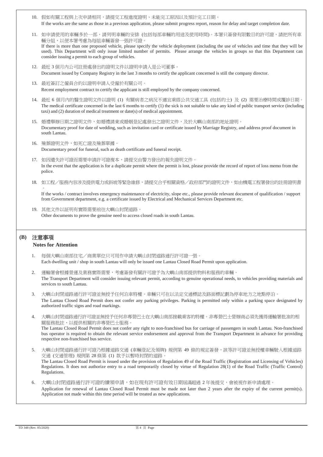- 10. 假如有關工程與上次申請相同,請提交工程進度證明、未能完工原因以及預計完工日期。 If the works are the same as those in a previous application, please submit progress report, reason for delay and target completion date.
- 11. 如申請使用的車輛多於一部,請列明車輛的安排 (包括每部車輛的用途及使用時間)。本署只簽發有限數目的許可證,請把所有車 輛分組,以便本署考慮為每組車輛簽發一張許可證。 If there is more than one proposed vehicle, please specify the vehicle deployment (including the use of vehicles and time that they will be used). This Department will only issue limited number of permits. Please arrange the vehicles in groups so that this Department can consider issuing a permit to each group of vehicles.
- 12. 最近 3 個月內公司註冊處發出的證明文件以證明申請人是公司董事。 Document issued by Company Registry in the last 3 months to certify the applicant concerned is still the company director.
- 13. 最近簽訂之僱員合約以證明申請人受僱於有關公司。 Recent employment contract to certify the applicant is still employed by the company concerned.
- 14. 最近 6 個月內的醫生證明文件以證明 (1) 有關病者之病況不適宜乘搭公共交通工具 (包括的士) 及 (2) 需要治療時間或覆診日期。 The medical certificate concerned in the last 6 months to certify (1) the sick is not suitable to take any kind of public transport service (including taxi) and (2) duration of medical treatment or date(s) of medical appointment.
- 15. 婚禮舉辦日期之證明文件,如婚禮請柬或婚姻登記處發出之證明文件,及於大嶼山南部的地址證明。 Documentary proof for date of wedding, such as invitation card or certificate issued by Marriage Registry, and address proof document in south Lantau.
- 16. 殮葬證明文件,如死亡證及殮葬單據。 Documentary proof for funeral, such as death certificate and funeral receipt.
- 17. 如因遺失許可證而需要申請許可證複本,請提交由警方發出的報失證明文件。 In the event that the application is for a duplicate permit where the permit is lost, please provide the record of report of loss memo from the police.
- 18. 如工程/服務內容涉及提供電力或斜坡等緊急維修,請提交合乎相關資格/政府部門的證明文件,如由機電工程署發出的註冊證明書

 $\circ$ If the works / contract involves emergency maintenance of electricity, slope etc., please provide relevant document of qualification / support from Government department, e.g. a certificate issued by Electrical and Mechanical Services Department etc.

19. 其他文件以証明有實際需要前往大嶼山封閉道路。 Other documents to prove the genuine need to access closed roads in south Lantau.

## **(B)** 注意事項

## **Notes for Attention**

- 1. 每個大嶼山南部住宅/商業單位只可用作申請大嶼山封閉道路通行許可證一張。 Each dwelling unit / shop in south Lantau will only be issued one Lantau Closed Road Permit upon application.
- 2. 運輸署會根據營運及業務實際需要,考慮簽發有關許可證予為大嶼山南部提供物料和服務的車輛。 The Transport Department will consider issuing relevant permit, according to genuine operational needs, to vehicles providing materials and services to south Lantau.
- 3. 大嶼山封閉道路通行許可證並無授予任何泊車特權。車輛只可在以法定交通標誌及路面標記劃為停車地方之地點停泊。 The Lantau Closed Road Permit does not confer any parking privileges. Parking is permitted only within a parking space designated by authorized traffic signs and road markings.
- 4. 大嶼山封閉道路通行許可證並無授予任何非專營巴士在大嶼山南部接載乘客的特權。非專營巴士營辦商必須先獲得運輸署批准的相 關服務批註,以提供相關的非專營巴士服務。 The Lantau Closed Road Permit does not confer any right to non-franchised bus for carriage of passengers in south Lantau. Non-franchised bus operator is required to obtain the relevant service endorsement and approval from the Transport Department in advance for providing respective non-franchised bus service.
- 5. 大嶼山封閉道路通行許可證乃根據道路交通 (車輛登記及領牌) 規例第 49 條的規定簽發,該等許可證並無授權車輛駛入根據道路 交通 (交通管理) 規例第 28 條第 (1) 款予以暫時封閉的道路。 The Lantau Closed Road Permit is issued under the provision of Regulation 49 of the Road Traffic (Registration and Licensing of Vehicles) Regulations. It does not authorize entry to a road temporarily closed by virtue of Regulation 28(1) of the Road Traffic (Traffic Control) Regulations.
- 6. 大嶼山封閉道路通行許可證的續領申請,如在現有許可證有效日期屆滿超過 2 年後提交,會被視作新申請處理。 Application for renewal of Lantau Closed Road Permit must be made not later than 2 years after the expiry of the current permit(s). Application not made within this time period will be treated as new applications.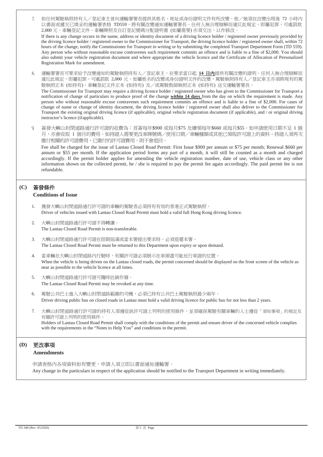- 7. 如任何駕駛執照持有人/登記車主曾向運輸署署長提供其姓名、地址或身份證明文件有所改變,他/她須在改變出現後 72 小時內 以書面或遞交已填妥的運輸署表格 TD559,將有關改變通知運輸署署長。任何人無合理辯解而違反此規定,即屬犯罪,可處罰款 2,000 元。車輛登記文件、車輛牌照及自訂登記號碼分配證明書 (如屬需要) 亦須交出,以作修改。 If there is any change occurs in the name, address or identity document of a driving licence holder / registered owner previously provided by the driving licence holder / registered owner to the Commissioner for Transport, the driving licence holder / registered owner shall, within 72 hours of the change, notify the Commissioner for Transport in writing or by submitting the completed Transport Department Form (TD 559). Any person who without reasonable excuse contravenes such requirement commits an offence and is liable to a fine of \$2,000. You should also submit your vehicle registration document and where appropriate the vehicle licence and the Certificate of Allocation of Personalized Registration Mark for amendment.
- 8. 運輸署署長可要求給予改變通知的駕駛執照持有人/登記車主,在要求當日起 **14** 日內提供有關改變的證明。任何人無合理辯解而 違反此規定,即屬犯罪,可處罰款 2,000 元。如屬姓名的改變或身份證明文件的改變,駕駛執照持有人/登記車主亦須將現有的駕 駛執照正本 (如持有)、車輛登記文件正本 (如持有) 及/或駕駛教師執照正本 (如持有) 送交運輸署署長。 The Commissioner for Transport may require a driving licence holder / registered owner who has given to the Commissioner for Transport a notification of change of particulars to produce proof of the change **within 14 days** from the day on which the requirement is made. Any person who without reasonable excuse contravenes such requirement commits an offence and is liable to a fine of \$2,000. For cases of change of name or change of identity document, the driving licence holder / registered owner shall also deliver to the Commissioner for Transport the existing original driving licence (if applicable), original vehicle registration document (if applicable), and / or original driving instructor's licence (ifapplicable).
- 9. 簽發大嶼山封閉道路通行許可證的收費為:首簽每年\$900 或每月\$75 及續領每年\$660 或每月\$55。如申請使用日期不足 1 個 月,亦會收取 1 個月的費用。如持證人需要更改車牌號碼/使用日期/車輛種類或其他已領取許可證上的資料,持證人須再次 繳付相關的許可證費用,已繳付的許可證費用,則不會退回。

Fee shall be charged for the issue of Lantau Closed Road Permit: First Issue \$900 per annum or \$75 per month; Renewal \$660 per annum or \$55 per month. If the application period forms any part of a month, it will still be counted as a month and charged accordingly. If the permit holder applies for amending the vehicle registration number, date of use, vehicle class or any other information shown on the collected permit, he  $/$  she is required to pay the permit fee again accordingly. The paid permit fee is not refundable.

## **(C)** 簽發條件

## **Conditions of Issue**

- 1. 獲發大嶼山封閉道路通行許可證的車輛的駕駛者必須持有有效的香港正式駕駛執照。 Driver of vehicles issued with Lantau Closed Road Permit must hold a valid full Hong Kong driving licence.
- 2. 大嶼山封閉道路通行許可證不得轉讓。 The Lantau Closed Road Permit is non-transferable.
- 3. 大嶼山封閉道路通行許可證在限期屆滿或當本署提出要求時,必須退還本署。 The Lantau Closed Road Permit must be returned to this Department upon expiry or upon demand.
- 4. 當車輛在大嶼山封閉道路內行駛時,有關許可證必須展示在車頭盡可能近行車證的位置。 When the vehicle is being driven on the Lantau closed roads, the permit concerned should be displayed on the front screen of the vehicle as near as possible to the vehicle licence at all times.
- 5. 大嶼山封閉道路通行許可證可隨時註銷作廢。 The Lantau Closed Road Permit may be revoked at any time.
- 6. 駕駛公共巴士進入大嶼山封閉道路範圍的司機,必須已持有公共巴士駕駛執照最少兩年。 Driver driving public bus on closed roads in Lantau must hold a valid driving licence for public bus for not less than 2 years.
- 7. 大嶼山封閉道路通行許可證的持有人須遵從該許可證上列明的使用條件,並須確保駕駛有關車輛的人士遵從「須知事項」的規定及 有關許可證上列明的使用條件。

Holders of Lantau Closed Road Permit shall comply with the conditions of the permit and ensure driver of the concerned vehicle complies with the requirements in the "Notes to Help You" and conditions in the permit.

## **(D)** 更改事項

### **Amendments**

申請表格內各項資料如有變更,申請人須立即以書面通知運輸署。 Any change in the particulars in respect of the application should be notified to the Transport Department in writing immediately.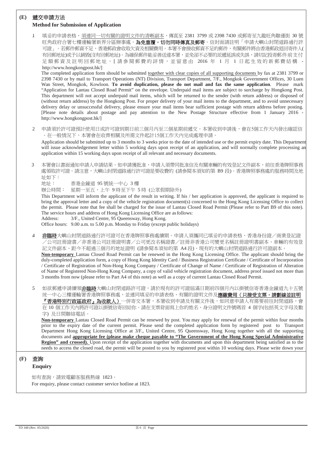## **(E)** 遞交申請方法 **Method for Submission of Application**

1. 填妥的申請表格,須連同一切有關的證明文件的清晰副本,傳真至 2381 3799 或 2398 7430 或郵寄至九龍旺角聯運街 30 號 旺角政府合署七樓運輸署新界分區辦事處。為**免重覆,切勿同時傳真及郵寄**。信封面請註明「申請大嶼山封閉道路通行許 可證」。若郵件郵資不足,香港郵政會收取欠資及相關費用。本署不會接收郵資不足的郵件,有關郵件將由香港郵政退回寄件人( 有回郵地址)或予以銷毀(沒有回郵地址)。為確保郵件能妥善送達本署,並免卻不必要的派遞延誤或失誤,請切記投寄郵件前支付 足額郵資及註明回郵地址。 [ 請參閱郵費的詳情,並留意由 2016 年 1 月 1 日起生效的新郵費結構 [http://www.hongkongpost.hk/\]](http://www.hongkongpost.hk/)

The completed application form should be submitted together with clear copies of all supporting documents by fax at 2381 3799 or 2398 7430 or by mail to Transport Operations (NT) Division, Transport Department, 7/F., Mongkok Government Offices, 30 Luen Wan Street, Mongkok, Kowloon. **To avoid duplication, please do not mail and fax the same application**. Please mark "Application for Lantau Closed Road Permit" on the envelope. Underpaid mail items are subject to surcharge by Hongkong Post. This department will not accept underpaid mail items, which will be returned to the sender (with return address) or disposed of (without return address) by the Hongkong Post. For proper delivery of your mail items to the department, and to avoid unnecessary delivery delay or unsuccessful delivery, please ensure your mail items bear sufficient postage with return address before posting. [Please note details about postage and pay attention to the New Postage Structure effective from 1 January 2016 [http://www.hongkongpost.hk/\]](http://www.hongkongpost.hk/)

2. 申請須於許可證預計使用日或許可證到期日前三個月內至三個星期前遞交。本署收到申請後,會在5個工作天內發出確認信 。在一般情況下,本署會在收齊相關及所需文件起計15個工作天內完成處理申請。

Application should be submitted up to 3 months to 3 weeks prior to the date of intended use or the permit expiry date. This Department will issue acknowledgement letter within 5 working days upon receipt of an application, and will normally complete processing an application within 15 working days upon receipt of all relevant and necessary documents.

3 本署會以書面通知申請人申請結果。如申請獲批准,申請人須帶同批准信及有關車輛的有效登記文件副本,前往香港牌照事務 處領取許可證。請注意,大嶼山封閉道路通行許可證是要收費的 (請參閱本須知的第 B9 段)。香港牌照事務處的服務時間及地 址如下:

地址: 香港金鐘道 95 號統一中心 3 樓

辦公時間: 星期一至五,上午 9 時至下午 5 時 (公眾假期除外)

This Department will inform the applicant of the result in writing. If his / her application is approved, the applicant is required to bring the approval letter and a copy of the vehicle registration document(s) concerned to the Hong Kong Licensing Office to collect the permit. Please note that fee shall be charged for the issue of Lantau Closed Road Permit (Please refer to Part B9 of this note). The service hours and address of Hong Kong Licensing Office are asfollows:

Address: 3/F., United Centre, 95 Queensway, Hong Kong.

Office hours: 9.00 a.m. to 5.00 p.m. Monday to Friday (except public holidays)

- 4. 非臨時大嶼山封閉道路通行許可證可在香港牌照事務處續期。申請人須攜同已填妥的申請表格、香港身份證/商業登記證 /公司註冊證書/非香港公司註冊證明書/公司更改名稱證書/註冊非香港公司變更名稱註冊證明書副本、車輛的有效登 記文件副本、距今不超過三個月的地址證明 (請參閱本須知的第 A4 段)、現有的大嶼山封閉道路通行許可證副本。 **Non-temporary** Lantau Closed Road Permit can be renewed in the Hong Kong Licensing Office. The applicant should bring the duly-completed application form, a copy of Hong Kong Identity Card / Business Registration Certificate / Certificate of Incorporation / Certificate of Registration of Non-Hong Kong Company / Certificate of Change of Name / Certificate of Registration of Alteration of Name of Registered Non-Hong Kong Company, a copy of valid vehicle registration document, address proof issued not more than 3 months from now (please refer to Part A4 of this note) as well as a copy of current Lantau Closed Road Permit.
- 5 如欲郵遞申請續領**非臨時**大嶼山封閉道路許可證,請於現有的許可證屆滿日期前四個月內以掛號信寄香港金鐘道九十五號 统一中心三樓運輸署香港牌照事務處,並連同填妥的申請表格、有關的證明文件及**應繳費用(只接受支票,請劃線並註明** 『香港特別行政區政府』為收款人)一併寄交本署,本署收到申請及有關文件後,如同意申請人有需要前往封閉道路,會 在 10 個工作天內將許可證以掛號信寄回給你。請在支票背面寫上你的姓名、身分證明文件號碼首 4 個字(包括英文字母及數 字) 及日間聯絡電話。

**Non-temporary** Lantau Closed Road Permit can be renewed by post. You may apply for renewal of the permit within four months prior to the expiry date of the current permit. Please send the completed application form by registered post to Transport Department Hong Kong Licensing Office at 3/F., United Centre, 95 Queensway, Hong Kong together with all the supporting documents and **appropriate fee (please make cheque payable to "The Government of the Hong Kong Special Administrative Region" and crossed).** Upon receipt of the application together with documents and upon this department being satisfied as to the needs to access the closed road, the permit will be posted to you by registered post within 10 working days. Please write down your

## **(F)** 查詢

#### **Enquiry**

如有查詢,請致電顧客服務熱線 1823。 For enquiry, please contact customer service hotline at 1823.